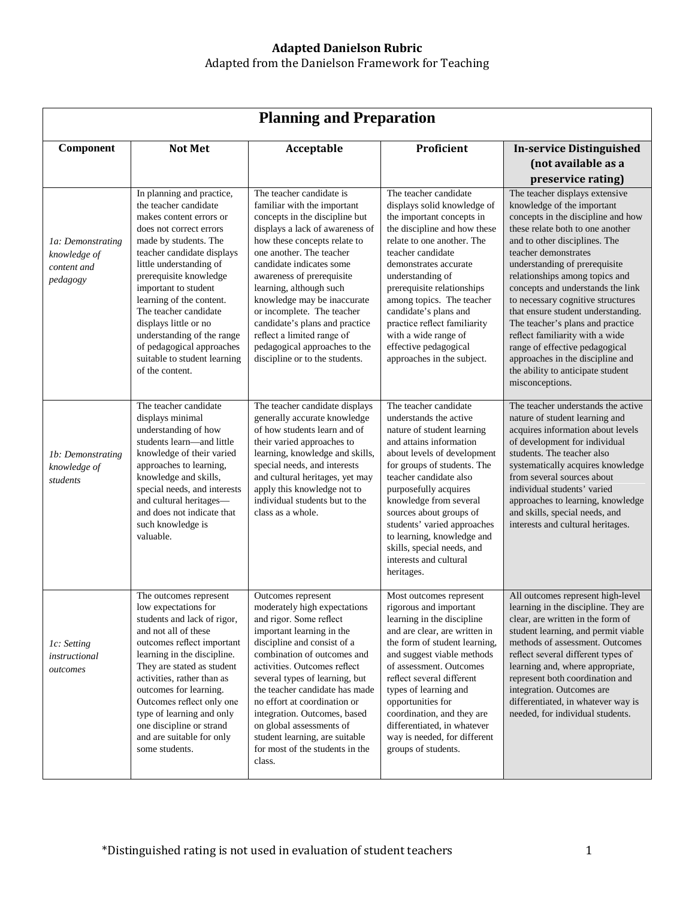| <b>Planning and Preparation</b>                              |                                                                                                                                                                                                                                                                                                                                                                                                                                          |                                                                                                                                                                                                                                                                                                                                                                                                                                                                              |                                                                                                                                                                                                                                                                                                                                                                                                                      |                                                                                                                                                                                                                                                                                                                                                                                                                                                                                                                                                                                         |  |
|--------------------------------------------------------------|------------------------------------------------------------------------------------------------------------------------------------------------------------------------------------------------------------------------------------------------------------------------------------------------------------------------------------------------------------------------------------------------------------------------------------------|------------------------------------------------------------------------------------------------------------------------------------------------------------------------------------------------------------------------------------------------------------------------------------------------------------------------------------------------------------------------------------------------------------------------------------------------------------------------------|----------------------------------------------------------------------------------------------------------------------------------------------------------------------------------------------------------------------------------------------------------------------------------------------------------------------------------------------------------------------------------------------------------------------|-----------------------------------------------------------------------------------------------------------------------------------------------------------------------------------------------------------------------------------------------------------------------------------------------------------------------------------------------------------------------------------------------------------------------------------------------------------------------------------------------------------------------------------------------------------------------------------------|--|
| Component                                                    | <b>Not Met</b>                                                                                                                                                                                                                                                                                                                                                                                                                           | Acceptable                                                                                                                                                                                                                                                                                                                                                                                                                                                                   | Proficient                                                                                                                                                                                                                                                                                                                                                                                                           | <b>In-service Distinguished</b>                                                                                                                                                                                                                                                                                                                                                                                                                                                                                                                                                         |  |
|                                                              |                                                                                                                                                                                                                                                                                                                                                                                                                                          |                                                                                                                                                                                                                                                                                                                                                                                                                                                                              |                                                                                                                                                                                                                                                                                                                                                                                                                      | (not available as a                                                                                                                                                                                                                                                                                                                                                                                                                                                                                                                                                                     |  |
|                                                              |                                                                                                                                                                                                                                                                                                                                                                                                                                          |                                                                                                                                                                                                                                                                                                                                                                                                                                                                              |                                                                                                                                                                                                                                                                                                                                                                                                                      | preservice rating)                                                                                                                                                                                                                                                                                                                                                                                                                                                                                                                                                                      |  |
| 1a: Demonstrating<br>knowledge of<br>content and<br>pedagogy | In planning and practice,<br>the teacher candidate<br>makes content errors or<br>does not correct errors<br>made by students. The<br>teacher candidate displays<br>little understanding of<br>prerequisite knowledge<br>important to student<br>learning of the content.<br>The teacher candidate<br>displays little or no<br>understanding of the range<br>of pedagogical approaches<br>suitable to student learning<br>of the content. | The teacher candidate is<br>familiar with the important<br>concepts in the discipline but<br>displays a lack of awareness of<br>how these concepts relate to<br>one another. The teacher<br>candidate indicates some<br>awareness of prerequisite<br>learning, although such<br>knowledge may be inaccurate<br>or incomplete. The teacher<br>candidate's plans and practice<br>reflect a limited range of<br>pedagogical approaches to the<br>discipline or to the students. | The teacher candidate<br>displays solid knowledge of<br>the important concepts in<br>the discipline and how these<br>relate to one another. The<br>teacher candidate<br>demonstrates accurate<br>understanding of<br>prerequisite relationships<br>among topics. The teacher<br>candidate's plans and<br>practice reflect familiarity<br>with a wide range of<br>effective pedagogical<br>approaches in the subject. | The teacher displays extensive<br>knowledge of the important<br>concepts in the discipline and how<br>these relate both to one another<br>and to other disciplines. The<br>teacher demonstrates<br>understanding of prerequisite<br>relationships among topics and<br>concepts and understands the link<br>to necessary cognitive structures<br>that ensure student understanding.<br>The teacher's plans and practice<br>reflect familiarity with a wide<br>range of effective pedagogical<br>approaches in the discipline and<br>the ability to anticipate student<br>misconceptions. |  |
| 1b: Demonstrating<br>knowledge of<br>students                | The teacher candidate<br>displays minimal<br>understanding of how<br>students learn-and little<br>knowledge of their varied<br>approaches to learning,<br>knowledge and skills,<br>special needs, and interests<br>and cultural heritages-<br>and does not indicate that<br>such knowledge is<br>valuable.                                                                                                                               | The teacher candidate displays<br>generally accurate knowledge<br>of how students learn and of<br>their varied approaches to<br>learning, knowledge and skills,<br>special needs, and interests<br>and cultural heritages, yet may<br>apply this knowledge not to<br>individual students but to the<br>class as a whole.                                                                                                                                                     | The teacher candidate<br>understands the active<br>nature of student learning<br>and attains information<br>about levels of development<br>for groups of students. The<br>teacher candidate also<br>purposefully acquires<br>knowledge from several<br>sources about groups of<br>students' varied approaches<br>to learning, knowledge and<br>skills, special needs, and<br>interests and cultural<br>heritages.    | The teacher understands the active<br>nature of student learning and<br>acquires information about levels<br>of development for individual<br>students. The teacher also<br>systematically acquires knowledge<br>from several sources about<br>individual students' varied<br>approaches to learning, knowledge<br>and skills, special needs, and<br>interests and cultural heritages.                                                                                                                                                                                                  |  |
| 1c: Setting<br>instructional<br>outcomes                     | The outcomes represent<br>low expectations for<br>students and lack of rigor,<br>and not all of these<br>outcomes reflect important<br>learning in the discipline.<br>They are stated as student<br>activities, rather than as<br>outcomes for learning.<br>Outcomes reflect only one<br>type of learning and only<br>one discipline or strand<br>and are suitable for only<br>some students.                                            | Outcomes represent<br>moderately high expectations<br>and rigor. Some reflect<br>important learning in the<br>discipline and consist of a<br>combination of outcomes and<br>activities. Outcomes reflect<br>several types of learning, but<br>the teacher candidate has made<br>no effort at coordination or<br>integration. Outcomes, based<br>on global assessments of<br>student learning, are suitable<br>for most of the students in the<br>class.                      | Most outcomes represent<br>rigorous and important<br>learning in the discipline<br>and are clear, are written in<br>the form of student learning,<br>and suggest viable methods<br>of assessment. Outcomes<br>reflect several different<br>types of learning and<br>opportunities for<br>coordination, and they are<br>differentiated, in whatever<br>way is needed, for different<br>groups of students.            | All outcomes represent high-level<br>learning in the discipline. They are<br>clear, are written in the form of<br>student learning, and permit viable<br>methods of assessment. Outcomes<br>reflect several different types of<br>learning and, where appropriate,<br>represent both coordination and<br>integration. Outcomes are<br>differentiated, in whatever way is<br>needed, for individual students.                                                                                                                                                                            |  |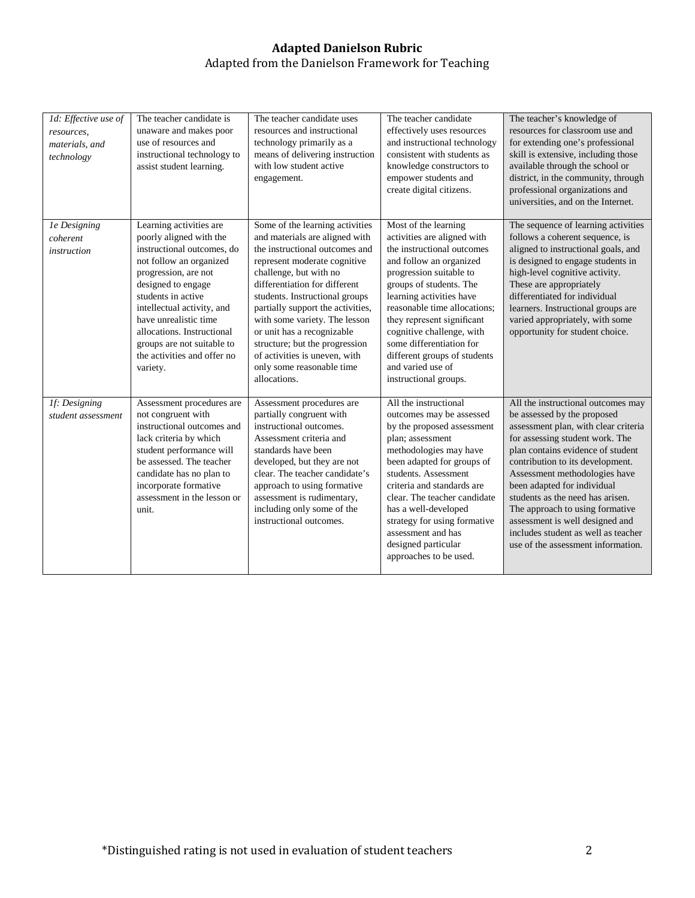| 1d: Effective use of<br>resources,<br>materials, and<br>technology | The teacher candidate is<br>unaware and makes poor<br>use of resources and<br>instructional technology to<br>assist student learning.                                                                                                                                                                                                         | The teacher candidate uses<br>resources and instructional<br>technology primarily as a<br>means of delivering instruction<br>with low student active<br>engagement.                                                                                                                                                                                                                                                                                  | The teacher candidate<br>effectively uses resources<br>and instructional technology<br>consistent with students as<br>knowledge constructors to<br>empower students and<br>create digital citizens.                                                                                                                                                                                                 | The teacher's knowledge of<br>resources for classroom use and<br>for extending one's professional<br>skill is extensive, including those<br>available through the school or<br>district, in the community, through<br>professional organizations and<br>universities, and on the Internet.                                                                                                                                                                                   |
|--------------------------------------------------------------------|-----------------------------------------------------------------------------------------------------------------------------------------------------------------------------------------------------------------------------------------------------------------------------------------------------------------------------------------------|------------------------------------------------------------------------------------------------------------------------------------------------------------------------------------------------------------------------------------------------------------------------------------------------------------------------------------------------------------------------------------------------------------------------------------------------------|-----------------------------------------------------------------------------------------------------------------------------------------------------------------------------------------------------------------------------------------------------------------------------------------------------------------------------------------------------------------------------------------------------|------------------------------------------------------------------------------------------------------------------------------------------------------------------------------------------------------------------------------------------------------------------------------------------------------------------------------------------------------------------------------------------------------------------------------------------------------------------------------|
| le Designing<br>coherent<br>instruction                            | Learning activities are<br>poorly aligned with the<br>instructional outcomes, do<br>not follow an organized<br>progression, are not<br>designed to engage<br>students in active<br>intellectual activity, and<br>have unrealistic time<br>allocations. Instructional<br>groups are not suitable to<br>the activities and offer no<br>variety. | Some of the learning activities<br>and materials are aligned with<br>the instructional outcomes and<br>represent moderate cognitive<br>challenge, but with no<br>differentiation for different<br>students. Instructional groups<br>partially support the activities,<br>with some variety. The lesson<br>or unit has a recognizable<br>structure; but the progression<br>of activities is uneven, with<br>only some reasonable time<br>allocations. | Most of the learning<br>activities are aligned with<br>the instructional outcomes<br>and follow an organized<br>progression suitable to<br>groups of students. The<br>learning activities have<br>reasonable time allocations;<br>they represent significant<br>cognitive challenge, with<br>some differentiation for<br>different groups of students<br>and varied use of<br>instructional groups. | The sequence of learning activities<br>follows a coherent sequence, is<br>aligned to instructional goals, and<br>is designed to engage students in<br>high-level cognitive activity.<br>These are appropriately<br>differentiated for individual<br>learners. Instructional groups are<br>varied appropriately, with some<br>opportunity for student choice.                                                                                                                 |
| 1f: Designing<br>student assessment                                | Assessment procedures are<br>not congruent with<br>instructional outcomes and<br>lack criteria by which<br>student performance will<br>be assessed. The teacher<br>candidate has no plan to<br>incorporate formative<br>assessment in the lesson or<br>unit.                                                                                  | Assessment procedures are<br>partially congruent with<br>instructional outcomes.<br>Assessment criteria and<br>standards have been<br>developed, but they are not<br>clear. The teacher candidate's<br>approach to using formative<br>assessment is rudimentary,<br>including only some of the<br>instructional outcomes.                                                                                                                            | All the instructional<br>outcomes may be assessed<br>by the proposed assessment<br>plan; assessment<br>methodologies may have<br>been adapted for groups of<br>students. Assessment<br>criteria and standards are<br>clear. The teacher candidate<br>has a well-developed<br>strategy for using formative<br>assessment and has<br>designed particular<br>approaches to be used.                    | All the instructional outcomes may<br>be assessed by the proposed<br>assessment plan, with clear criteria<br>for assessing student work. The<br>plan contains evidence of student<br>contribution to its development.<br>Assessment methodologies have<br>been adapted for individual<br>students as the need has arisen.<br>The approach to using formative<br>assessment is well designed and<br>includes student as well as teacher<br>use of the assessment information. |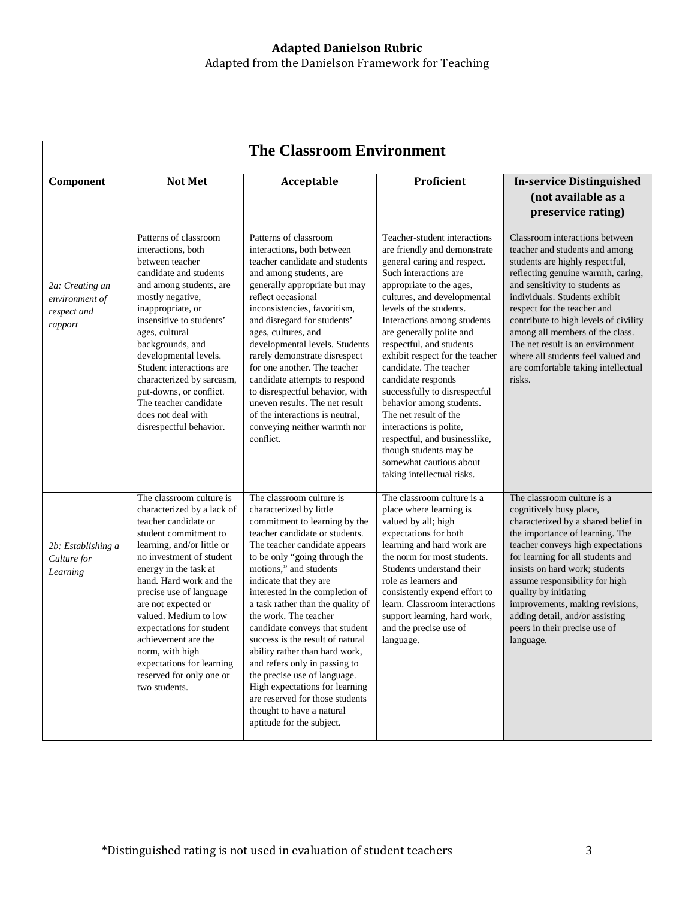| <b>The Classroom Environment</b>                            |                                                                                                                                                                                                                                                                                                                                                                                                                                                  |                                                                                                                                                                                                                                                                                                                                                                                                                                                                                                                                                                                                                                                       |                                                                                                                                                                                                                                                                                                                                                                                                                                                                                                                                                                                                                           |                                                                                                                                                                                                                                                                                                                                                                                                                                                    |  |
|-------------------------------------------------------------|--------------------------------------------------------------------------------------------------------------------------------------------------------------------------------------------------------------------------------------------------------------------------------------------------------------------------------------------------------------------------------------------------------------------------------------------------|-------------------------------------------------------------------------------------------------------------------------------------------------------------------------------------------------------------------------------------------------------------------------------------------------------------------------------------------------------------------------------------------------------------------------------------------------------------------------------------------------------------------------------------------------------------------------------------------------------------------------------------------------------|---------------------------------------------------------------------------------------------------------------------------------------------------------------------------------------------------------------------------------------------------------------------------------------------------------------------------------------------------------------------------------------------------------------------------------------------------------------------------------------------------------------------------------------------------------------------------------------------------------------------------|----------------------------------------------------------------------------------------------------------------------------------------------------------------------------------------------------------------------------------------------------------------------------------------------------------------------------------------------------------------------------------------------------------------------------------------------------|--|
| Component                                                   | <b>Not Met</b>                                                                                                                                                                                                                                                                                                                                                                                                                                   | Acceptable                                                                                                                                                                                                                                                                                                                                                                                                                                                                                                                                                                                                                                            | Proficient                                                                                                                                                                                                                                                                                                                                                                                                                                                                                                                                                                                                                | <b>In-service Distinguished</b><br>(not available as a<br>preservice rating)                                                                                                                                                                                                                                                                                                                                                                       |  |
| 2a: Creating an<br>environment of<br>respect and<br>rapport | Patterns of classroom<br>interactions, both<br>between teacher<br>candidate and students<br>and among students, are<br>mostly negative,<br>inappropriate, or<br>insensitive to students'<br>ages, cultural<br>backgrounds, and<br>developmental levels.<br>Student interactions are<br>characterized by sarcasm,<br>put-downs, or conflict.<br>The teacher candidate<br>does not deal with<br>disrespectful behavior.                            | Patterns of classroom<br>interactions, both between<br>teacher candidate and students<br>and among students, are<br>generally appropriate but may<br>reflect occasional<br>inconsistencies, favoritism,<br>and disregard for students'<br>ages, cultures, and<br>developmental levels. Students<br>rarely demonstrate disrespect<br>for one another. The teacher<br>candidate attempts to respond<br>to disrespectful behavior, with<br>uneven results. The net result<br>of the interactions is neutral,<br>conveying neither warmth nor<br>conflict.                                                                                                | Teacher-student interactions<br>are friendly and demonstrate<br>general caring and respect.<br>Such interactions are<br>appropriate to the ages,<br>cultures, and developmental<br>levels of the students.<br>Interactions among students<br>are generally polite and<br>respectful, and students<br>exhibit respect for the teacher<br>candidate. The teacher<br>candidate responds<br>successfully to disrespectful<br>behavior among students.<br>The net result of the<br>interactions is polite,<br>respectful, and businesslike,<br>though students may be<br>somewhat cautious about<br>taking intellectual risks. | Classroom interactions between<br>teacher and students and among<br>students are highly respectful,<br>reflecting genuine warmth, caring,<br>and sensitivity to students as<br>individuals. Students exhibit<br>respect for the teacher and<br>contribute to high levels of civility<br>among all members of the class.<br>The net result is an environment<br>where all students feel valued and<br>are comfortable taking intellectual<br>risks. |  |
| 2b: Establishing a<br>Culture for<br>Learning               | The classroom culture is<br>characterized by a lack of<br>teacher candidate or<br>student commitment to<br>learning, and/or little or<br>no investment of student<br>energy in the task at<br>hand. Hard work and the<br>precise use of language<br>are not expected or<br>valued. Medium to low<br>expectations for student<br>achievement are the<br>norm, with high<br>expectations for learning<br>reserved for only one or<br>two students. | The classroom culture is<br>characterized by little<br>commitment to learning by the<br>teacher candidate or students.<br>The teacher candidate appears<br>to be only "going through the<br>motions," and students<br>indicate that they are<br>interested in the completion of<br>a task rather than the quality of<br>the work. The teacher<br>candidate conveys that student<br>success is the result of natural<br>ability rather than hard work,<br>and refers only in passing to<br>the precise use of language.<br>High expectations for learning<br>are reserved for those students<br>thought to have a natural<br>aptitude for the subject. | The classroom culture is a<br>place where learning is<br>valued by all; high<br>expectations for both<br>learning and hard work are<br>the norm for most students.<br>Students understand their<br>role as learners and<br>consistently expend effort to<br>learn. Classroom interactions<br>support learning, hard work,<br>and the precise use of<br>language.                                                                                                                                                                                                                                                          | The classroom culture is a<br>cognitively busy place,<br>characterized by a shared belief in<br>the importance of learning. The<br>teacher conveys high expectations<br>for learning for all students and<br>insists on hard work; students<br>assume responsibility for high<br>quality by initiating<br>improvements, making revisions,<br>adding detail, and/or assisting<br>peers in their precise use of<br>language.                         |  |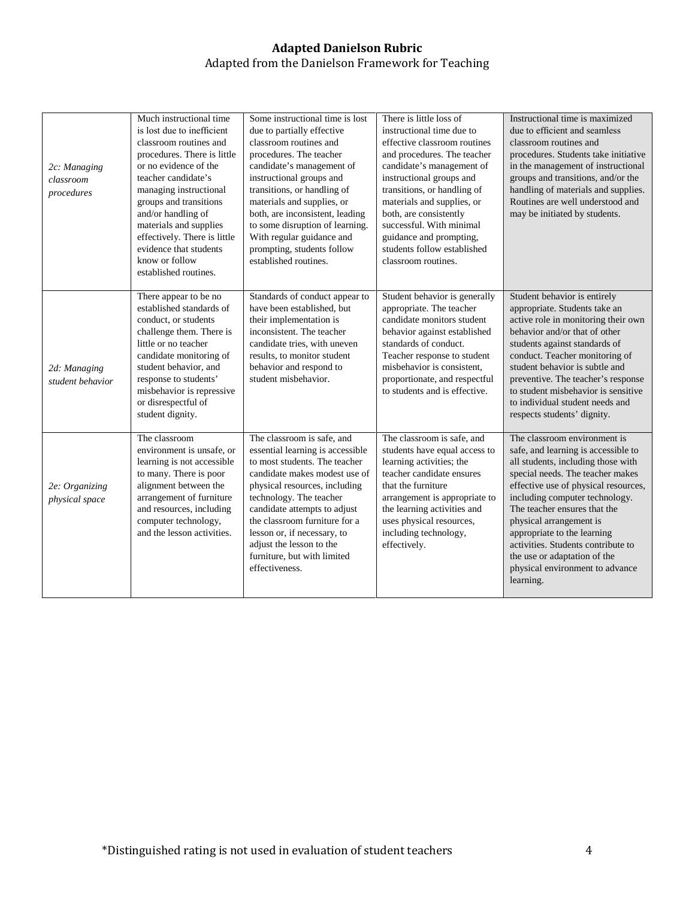| 2c: Managing<br>classroom<br>procedures | Much instructional time<br>is lost due to inefficient<br>classroom routines and<br>procedures. There is little<br>or no evidence of the<br>teacher candidate's<br>managing instructional<br>groups and transitions<br>and/or handling of<br>materials and supplies<br>effectively. There is little<br>evidence that students<br>know or follow<br>established routines. | Some instructional time is lost<br>due to partially effective<br>classroom routines and<br>procedures. The teacher<br>candidate's management of<br>instructional groups and<br>transitions, or handling of<br>materials and supplies, or<br>both, are inconsistent, leading<br>to some disruption of learning.<br>With regular guidance and<br>prompting, students follow<br>established routines. | There is little loss of<br>instructional time due to<br>effective classroom routines<br>and procedures. The teacher<br>candidate's management of<br>instructional groups and<br>transitions, or handling of<br>materials and supplies, or<br>both, are consistently<br>successful. With minimal<br>guidance and prompting,<br>students follow established<br>classroom routines. | Instructional time is maximized<br>due to efficient and seamless<br>classroom routines and<br>procedures. Students take initiative<br>in the management of instructional<br>groups and transitions, and/or the<br>handling of materials and supplies.<br>Routines are well understood and<br>may be initiated by students.                                                                                                              |
|-----------------------------------------|-------------------------------------------------------------------------------------------------------------------------------------------------------------------------------------------------------------------------------------------------------------------------------------------------------------------------------------------------------------------------|----------------------------------------------------------------------------------------------------------------------------------------------------------------------------------------------------------------------------------------------------------------------------------------------------------------------------------------------------------------------------------------------------|----------------------------------------------------------------------------------------------------------------------------------------------------------------------------------------------------------------------------------------------------------------------------------------------------------------------------------------------------------------------------------|-----------------------------------------------------------------------------------------------------------------------------------------------------------------------------------------------------------------------------------------------------------------------------------------------------------------------------------------------------------------------------------------------------------------------------------------|
| 2d: Managing<br>student behavior        | There appear to be no<br>established standards of<br>conduct, or students<br>challenge them. There is<br>little or no teacher<br>candidate monitoring of<br>student behavior, and<br>response to students'<br>misbehavior is repressive<br>or disrespectful of<br>student dignity.                                                                                      | Standards of conduct appear to<br>have been established, but<br>their implementation is<br>inconsistent. The teacher<br>candidate tries, with uneven<br>results, to monitor student<br>behavior and respond to<br>student misbehavior.                                                                                                                                                             | Student behavior is generally<br>appropriate. The teacher<br>candidate monitors student<br>behavior against established<br>standards of conduct.<br>Teacher response to student<br>misbehavior is consistent.<br>proportionate, and respectful<br>to students and is effective.                                                                                                  | Student behavior is entirely<br>appropriate. Students take an<br>active role in monitoring their own<br>behavior and/or that of other<br>students against standards of<br>conduct. Teacher monitoring of<br>student behavior is subtle and<br>preventive. The teacher's response<br>to student misbehavior is sensitive<br>to individual student needs and<br>respects students' dignity.                                               |
| 2e: Organizing<br>physical space        | The classroom<br>environment is unsafe, or<br>learning is not accessible<br>to many. There is poor<br>alignment between the<br>arrangement of furniture<br>and resources, including<br>computer technology,<br>and the lesson activities.                                                                                                                               | The classroom is safe, and<br>essential learning is accessible<br>to most students. The teacher<br>candidate makes modest use of<br>physical resources, including<br>technology. The teacher<br>candidate attempts to adjust<br>the classroom furniture for a<br>lesson or, if necessary, to<br>adjust the lesson to the<br>furniture, but with limited<br>effectiveness.                          | The classroom is safe, and<br>students have equal access to<br>learning activities; the<br>teacher candidate ensures<br>that the furniture<br>arrangement is appropriate to<br>the learning activities and<br>uses physical resources,<br>including technology,<br>effectively.                                                                                                  | The classroom environment is<br>safe, and learning is accessible to<br>all students, including those with<br>special needs. The teacher makes<br>effective use of physical resources,<br>including computer technology.<br>The teacher ensures that the<br>physical arrangement is<br>appropriate to the learning<br>activities. Students contribute to<br>the use or adaptation of the<br>physical environment to advance<br>learning. |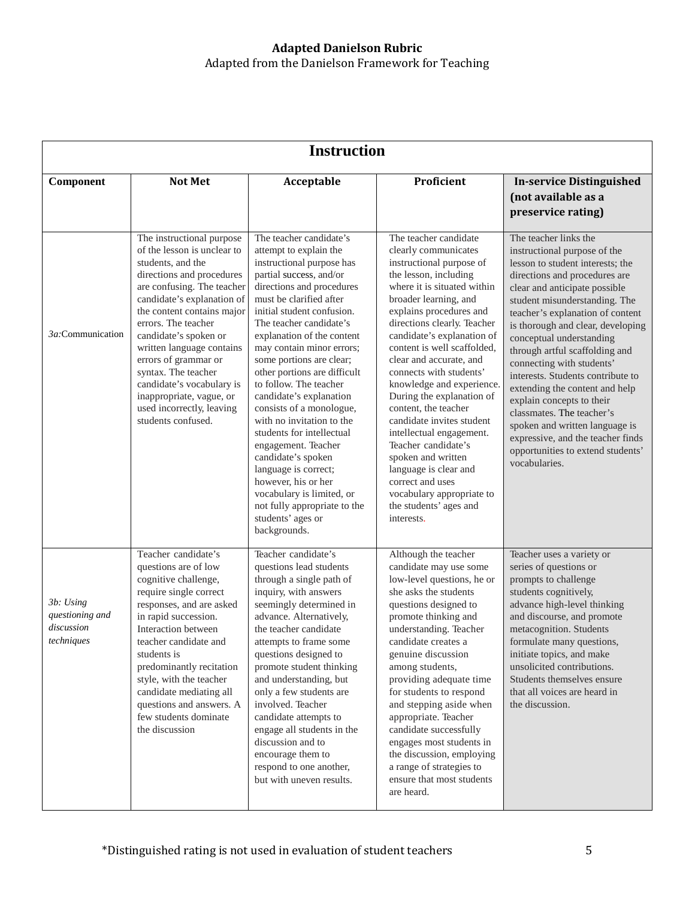| <b>Instruction</b>                                       |                                                                                                                                                                                                                                                                                                                                                                                                                                              |                                                                                                                                                                                                                                                                                                                                                                                                                                                                                                                                                                                                                                                                                            |                                                                                                                                                                                                                                                                                                                                                                                                                                                                                                                                                                                                                                                   |                                                                                                                                                                                                                                                                                                                                                                                                                                                                                                                                                                                                                                |
|----------------------------------------------------------|----------------------------------------------------------------------------------------------------------------------------------------------------------------------------------------------------------------------------------------------------------------------------------------------------------------------------------------------------------------------------------------------------------------------------------------------|--------------------------------------------------------------------------------------------------------------------------------------------------------------------------------------------------------------------------------------------------------------------------------------------------------------------------------------------------------------------------------------------------------------------------------------------------------------------------------------------------------------------------------------------------------------------------------------------------------------------------------------------------------------------------------------------|---------------------------------------------------------------------------------------------------------------------------------------------------------------------------------------------------------------------------------------------------------------------------------------------------------------------------------------------------------------------------------------------------------------------------------------------------------------------------------------------------------------------------------------------------------------------------------------------------------------------------------------------------|--------------------------------------------------------------------------------------------------------------------------------------------------------------------------------------------------------------------------------------------------------------------------------------------------------------------------------------------------------------------------------------------------------------------------------------------------------------------------------------------------------------------------------------------------------------------------------------------------------------------------------|
| Component                                                | <b>Not Met</b>                                                                                                                                                                                                                                                                                                                                                                                                                               | Acceptable                                                                                                                                                                                                                                                                                                                                                                                                                                                                                                                                                                                                                                                                                 | Proficient                                                                                                                                                                                                                                                                                                                                                                                                                                                                                                                                                                                                                                        | <b>In-service Distinguished</b><br>(not available as a<br>preservice rating)                                                                                                                                                                                                                                                                                                                                                                                                                                                                                                                                                   |
| 3a:Communication                                         | The instructional purpose<br>of the lesson is unclear to<br>students, and the<br>directions and procedures<br>are confusing. The teacher<br>candidate's explanation of<br>the content contains major<br>errors. The teacher<br>candidate's spoken or<br>written language contains<br>errors of grammar or<br>syntax. The teacher<br>candidate's vocabulary is<br>inappropriate, vague, or<br>used incorrectly, leaving<br>students confused. | The teacher candidate's<br>attempt to explain the<br>instructional purpose has<br>partial success, and/or<br>directions and procedures<br>must be clarified after<br>initial student confusion.<br>The teacher candidate's<br>explanation of the content<br>may contain minor errors;<br>some portions are clear;<br>other portions are difficult<br>to follow. The teacher<br>candidate's explanation<br>consists of a monologue,<br>with no invitation to the<br>students for intellectual<br>engagement. Teacher<br>candidate's spoken<br>language is correct;<br>however, his or her<br>vocabulary is limited, or<br>not fully appropriate to the<br>students' ages or<br>backgrounds. | The teacher candidate<br>clearly communicates<br>instructional purpose of<br>the lesson, including<br>where it is situated within<br>broader learning, and<br>explains procedures and<br>directions clearly. Teacher<br>candidate's explanation of<br>content is well scaffolded,<br>clear and accurate, and<br>connects with students'<br>knowledge and experience.<br>During the explanation of<br>content, the teacher<br>candidate invites student<br>intellectual engagement.<br>Teacher candidate's<br>spoken and written<br>language is clear and<br>correct and uses<br>vocabulary appropriate to<br>the students' ages and<br>interests. | The teacher links the<br>instructional purpose of the<br>lesson to student interests; the<br>directions and procedures are<br>clear and anticipate possible<br>student misunderstanding. The<br>teacher's explanation of content<br>is thorough and clear, developing<br>conceptual understanding<br>through artful scaffolding and<br>connecting with students'<br>interests. Students contribute to<br>extending the content and help<br>explain concepts to their<br>classmates. The teacher's<br>spoken and written language is<br>expressive, and the teacher finds<br>opportunities to extend students'<br>vocabularies. |
| 3b: Using<br>questioning and<br>discussion<br>techniques | Teacher candidate's<br>questions are of low<br>cognitive challenge,<br>require single correct<br>responses, and are asked<br>in rapid succession.<br>Interaction between<br>teacher candidate and<br>students is<br>predominantly recitation<br>style, with the teacher<br>candidate mediating all<br>questions and answers. A<br>few students dominate<br>the discussion                                                                    | Teacher candidate's<br>questions lead students<br>through a single path of<br>inquiry, with answers<br>seemingly determined in<br>advance. Alternatively,<br>the teacher candidate<br>attempts to frame some<br>questions designed to<br>promote student thinking<br>and understanding, but<br>only a few students are<br>involved. Teacher<br>candidate attempts to<br>engage all students in the<br>discussion and to<br>encourage them to<br>respond to one another,<br>but with uneven results.                                                                                                                                                                                        | Although the teacher<br>candidate may use some<br>low-level questions, he or<br>she asks the students<br>questions designed to<br>promote thinking and<br>understanding. Teacher<br>candidate creates a<br>genuine discussion<br>among students,<br>providing adequate time<br>for students to respond<br>and stepping aside when<br>appropriate. Teacher<br>candidate successfully<br>engages most students in<br>the discussion, employing<br>a range of strategies to<br>ensure that most students<br>are heard.                                                                                                                               | Teacher uses a variety or<br>series of questions or<br>prompts to challenge<br>students cognitively,<br>advance high-level thinking<br>and discourse, and promote<br>metacognition. Students<br>formulate many questions,<br>initiate topics, and make<br>unsolicited contributions.<br>Students themselves ensure<br>that all voices are heard in<br>the discussion.                                                                                                                                                                                                                                                          |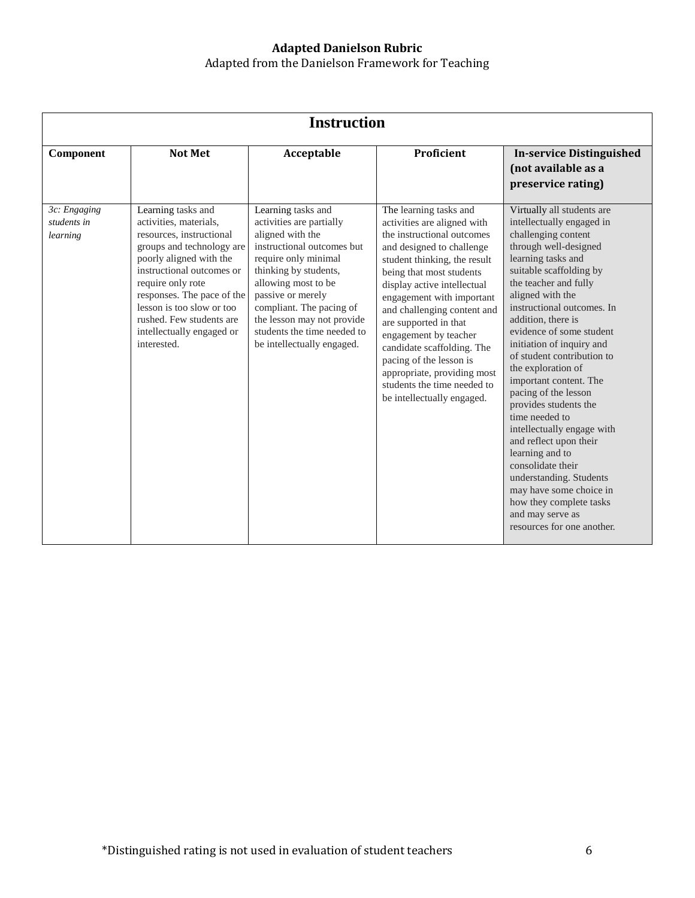| <b>Instruction</b>                      |                                                                                                                                                                                                                                                                                                                       |                                                                                                                                                                                                                                                                                                                      |                                                                                                                                                                                                                                                                                                                                                                                                                                                                                |                                                                                                                                                                                                                                                                                                                                                                                                                                                                                                                                                                                                                                                                                                        |  |
|-----------------------------------------|-----------------------------------------------------------------------------------------------------------------------------------------------------------------------------------------------------------------------------------------------------------------------------------------------------------------------|----------------------------------------------------------------------------------------------------------------------------------------------------------------------------------------------------------------------------------------------------------------------------------------------------------------------|--------------------------------------------------------------------------------------------------------------------------------------------------------------------------------------------------------------------------------------------------------------------------------------------------------------------------------------------------------------------------------------------------------------------------------------------------------------------------------|--------------------------------------------------------------------------------------------------------------------------------------------------------------------------------------------------------------------------------------------------------------------------------------------------------------------------------------------------------------------------------------------------------------------------------------------------------------------------------------------------------------------------------------------------------------------------------------------------------------------------------------------------------------------------------------------------------|--|
| Component                               | <b>Not Met</b>                                                                                                                                                                                                                                                                                                        | Acceptable                                                                                                                                                                                                                                                                                                           | Proficient                                                                                                                                                                                                                                                                                                                                                                                                                                                                     | <b>In-service Distinguished</b><br>(not available as a<br>preservice rating)                                                                                                                                                                                                                                                                                                                                                                                                                                                                                                                                                                                                                           |  |
| 3c: Engaging<br>students in<br>learning | Learning tasks and<br>activities, materials,<br>resources, instructional<br>groups and technology are<br>poorly aligned with the<br>instructional outcomes or<br>require only rote<br>responses. The pace of the<br>lesson is too slow or too<br>rushed. Few students are<br>intellectually engaged or<br>interested. | Learning tasks and<br>activities are partially<br>aligned with the<br>instructional outcomes but<br>require only minimal<br>thinking by students,<br>allowing most to be<br>passive or merely<br>compliant. The pacing of<br>the lesson may not provide<br>students the time needed to<br>be intellectually engaged. | The learning tasks and<br>activities are aligned with<br>the instructional outcomes<br>and designed to challenge<br>student thinking, the result<br>being that most students<br>display active intellectual<br>engagement with important<br>and challenging content and<br>are supported in that<br>engagement by teacher<br>candidate scaffolding. The<br>pacing of the lesson is<br>appropriate, providing most<br>students the time needed to<br>be intellectually engaged. | Virtually all students are<br>intellectually engaged in<br>challenging content<br>through well-designed<br>learning tasks and<br>suitable scaffolding by<br>the teacher and fully<br>aligned with the<br>instructional outcomes. In<br>addition, there is<br>evidence of some student<br>initiation of inquiry and<br>of student contribution to<br>the exploration of<br>important content. The<br>pacing of the lesson<br>provides students the<br>time needed to<br>intellectually engage with<br>and reflect upon their<br>learning and to<br>consolidate their<br>understanding. Students<br>may have some choice in<br>how they complete tasks<br>and may serve as<br>resources for one another. |  |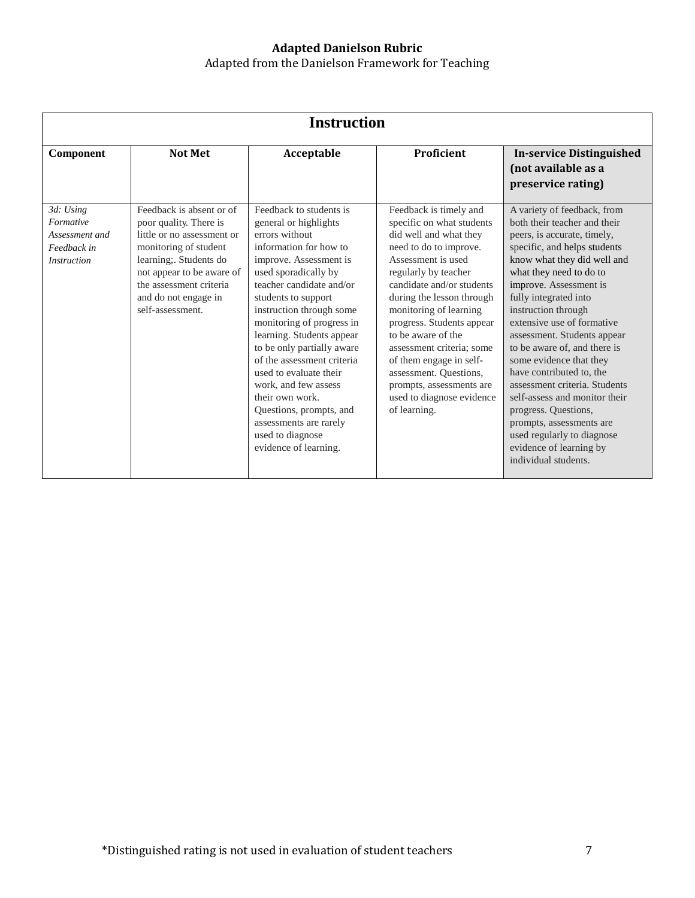| <b>Instruction</b>                                                            |                                                                                                                                                                                                                                        |                                                                                                                                                                                                                                                                                                                                                                                                                                                                                                                            |                                                                                                                                                                                                                                                                                                                                                                                                                                                         |                                                                                                                                                                                                                                                                                                                                                                                                                                                                                                                                                                                                                           |  |
|-------------------------------------------------------------------------------|----------------------------------------------------------------------------------------------------------------------------------------------------------------------------------------------------------------------------------------|----------------------------------------------------------------------------------------------------------------------------------------------------------------------------------------------------------------------------------------------------------------------------------------------------------------------------------------------------------------------------------------------------------------------------------------------------------------------------------------------------------------------------|---------------------------------------------------------------------------------------------------------------------------------------------------------------------------------------------------------------------------------------------------------------------------------------------------------------------------------------------------------------------------------------------------------------------------------------------------------|---------------------------------------------------------------------------------------------------------------------------------------------------------------------------------------------------------------------------------------------------------------------------------------------------------------------------------------------------------------------------------------------------------------------------------------------------------------------------------------------------------------------------------------------------------------------------------------------------------------------------|--|
| Component                                                                     | <b>Not Met</b>                                                                                                                                                                                                                         | Acceptable                                                                                                                                                                                                                                                                                                                                                                                                                                                                                                                 | Proficient                                                                                                                                                                                                                                                                                                                                                                                                                                              | <b>In-service Distinguished</b><br>(not available as a<br>preservice rating)                                                                                                                                                                                                                                                                                                                                                                                                                                                                                                                                              |  |
| 3d: Using<br>Formative<br>Assessment and<br>Feedback in<br><i>Instruction</i> | Feedback is absent or of<br>poor quality. There is<br>little or no assessment or<br>monitoring of student<br>learning; Students do<br>not appear to be aware of<br>the assessment criteria<br>and do not engage in<br>self-assessment. | Feedback to students is<br>general or highlights<br>errors without<br>information for how to<br>improve. Assessment is<br>used sporadically by<br>teacher candidate and/or<br>students to support<br>instruction through some<br>monitoring of progress in<br>learning. Students appear<br>to be only partially aware<br>of the assessment criteria<br>used to evaluate their<br>work, and few assess<br>their own work.<br>Questions, prompts, and<br>assessments are rarely<br>used to diagnose<br>evidence of learning. | Feedback is timely and<br>specific on what students<br>did well and what they<br>need to do to improve.<br>Assessment is used<br>regularly by teacher<br>candidate and/or students<br>during the lesson through<br>monitoring of learning<br>progress. Students appear<br>to be aware of the<br>assessment criteria; some<br>of them engage in self-<br>assessment. Questions,<br>prompts, assessments are<br>used to diagnose evidence<br>of learning. | A variety of feedback, from<br>both their teacher and their<br>peers, is accurate, timely,<br>specific, and helps students<br>know what they did well and<br>what they need to do to<br>improve. Assessment is<br>fully integrated into<br>instruction through<br>extensive use of formative<br>assessment. Students appear<br>to be aware of, and there is<br>some evidence that they<br>have contributed to, the<br>assessment criteria. Students<br>self-assess and monitor their<br>progress. Questions,<br>prompts, assessments are<br>used regularly to diagnose<br>evidence of learning by<br>individual students. |  |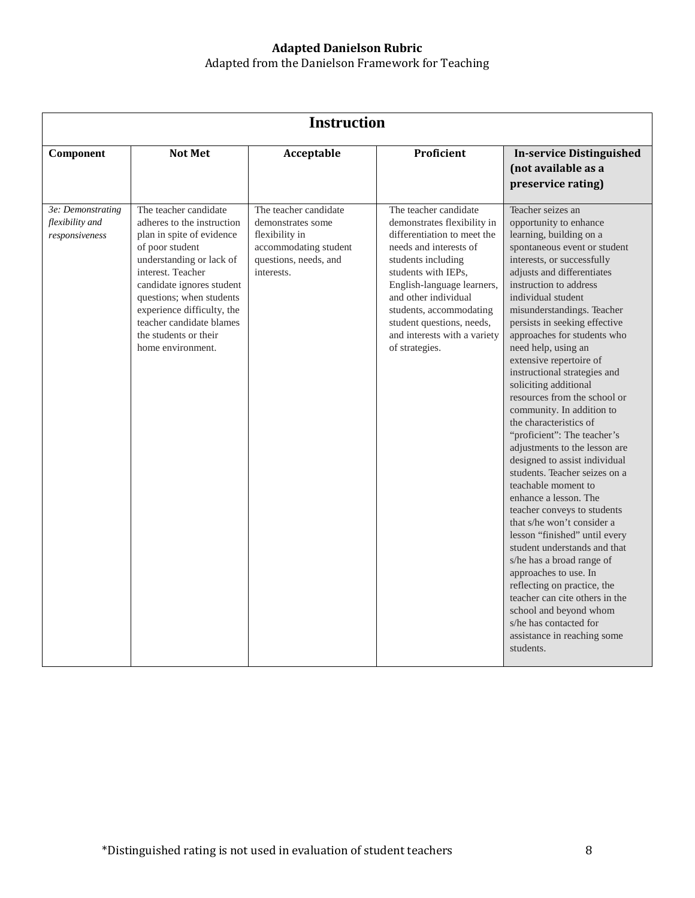| <b>Instruction</b>                                     |                                                                                                                                                                                                                                                                                                                       |                                                                                                                              |                                                                                                                                                                                                                                                                                                                            |                                                                                                                                                                                                                                                                                                                                                                                                                                                                                                                                                                                                                                                                                                                                                                                                                                                                                                                                                                                                                                                           |  |
|--------------------------------------------------------|-----------------------------------------------------------------------------------------------------------------------------------------------------------------------------------------------------------------------------------------------------------------------------------------------------------------------|------------------------------------------------------------------------------------------------------------------------------|----------------------------------------------------------------------------------------------------------------------------------------------------------------------------------------------------------------------------------------------------------------------------------------------------------------------------|-----------------------------------------------------------------------------------------------------------------------------------------------------------------------------------------------------------------------------------------------------------------------------------------------------------------------------------------------------------------------------------------------------------------------------------------------------------------------------------------------------------------------------------------------------------------------------------------------------------------------------------------------------------------------------------------------------------------------------------------------------------------------------------------------------------------------------------------------------------------------------------------------------------------------------------------------------------------------------------------------------------------------------------------------------------|--|
| Component                                              | <b>Not Met</b>                                                                                                                                                                                                                                                                                                        | Acceptable                                                                                                                   | Proficient                                                                                                                                                                                                                                                                                                                 | <b>In-service Distinguished</b><br>(not available as a<br>preservice rating)                                                                                                                                                                                                                                                                                                                                                                                                                                                                                                                                                                                                                                                                                                                                                                                                                                                                                                                                                                              |  |
| 3e: Demonstrating<br>flexibility and<br>responsiveness | The teacher candidate<br>adheres to the instruction<br>plan in spite of evidence<br>of poor student<br>understanding or lack of<br>interest. Teacher<br>candidate ignores student<br>questions; when students<br>experience difficulty, the<br>teacher candidate blames<br>the students or their<br>home environment. | The teacher candidate<br>demonstrates some<br>flexibility in<br>accommodating student<br>questions, needs, and<br>interests. | The teacher candidate<br>demonstrates flexibility in<br>differentiation to meet the<br>needs and interests of<br>students including<br>students with IEPs.<br>English-language learners,<br>and other individual<br>students, accommodating<br>student questions, needs,<br>and interests with a variety<br>of strategies. | Teacher seizes an<br>opportunity to enhance<br>learning, building on a<br>spontaneous event or student<br>interests, or successfully<br>adjusts and differentiates<br>instruction to address<br>individual student<br>misunderstandings. Teacher<br>persists in seeking effective<br>approaches for students who<br>need help, using an<br>extensive repertoire of<br>instructional strategies and<br>soliciting additional<br>resources from the school or<br>community. In addition to<br>the characteristics of<br>"proficient": The teacher's<br>adjustments to the lesson are<br>designed to assist individual<br>students. Teacher seizes on a<br>teachable moment to<br>enhance a lesson. The<br>teacher conveys to students<br>that s/he won't consider a<br>lesson "finished" until every<br>student understands and that<br>s/he has a broad range of<br>approaches to use. In<br>reflecting on practice, the<br>teacher can cite others in the<br>school and beyond whom<br>s/he has contacted for<br>assistance in reaching some<br>students. |  |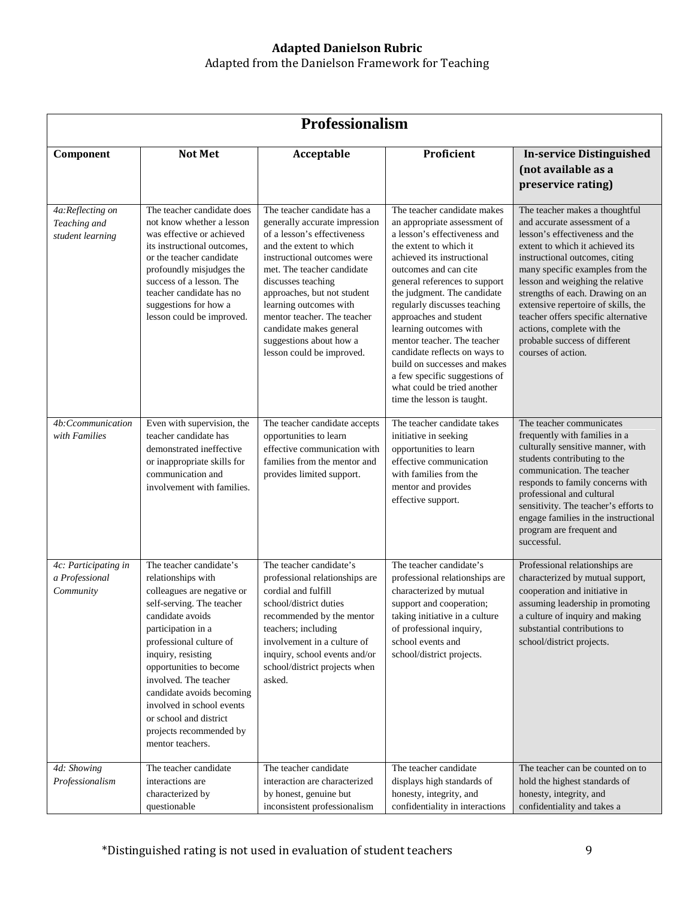| Professionalism                                      |                                                                                                                                                                                                                                                                                                                                                                                            |                                                                                                                                                                                                                                                                                                                                                                                      |                                                                                                                                                                                                                                                                                                                                                                                                                                                                                                                                |                                                                                                                                                                                                                                                                                                                                                                                                                                                     |
|------------------------------------------------------|--------------------------------------------------------------------------------------------------------------------------------------------------------------------------------------------------------------------------------------------------------------------------------------------------------------------------------------------------------------------------------------------|--------------------------------------------------------------------------------------------------------------------------------------------------------------------------------------------------------------------------------------------------------------------------------------------------------------------------------------------------------------------------------------|--------------------------------------------------------------------------------------------------------------------------------------------------------------------------------------------------------------------------------------------------------------------------------------------------------------------------------------------------------------------------------------------------------------------------------------------------------------------------------------------------------------------------------|-----------------------------------------------------------------------------------------------------------------------------------------------------------------------------------------------------------------------------------------------------------------------------------------------------------------------------------------------------------------------------------------------------------------------------------------------------|
| Component                                            | <b>Not Met</b>                                                                                                                                                                                                                                                                                                                                                                             | Acceptable                                                                                                                                                                                                                                                                                                                                                                           | Proficient                                                                                                                                                                                                                                                                                                                                                                                                                                                                                                                     | <b>In-service Distinguished</b><br>(not available as a<br>preservice rating)                                                                                                                                                                                                                                                                                                                                                                        |
| 4a:Reflecting on<br>Teaching and<br>student learning | The teacher candidate does<br>not know whether a lesson<br>was effective or achieved<br>its instructional outcomes,<br>or the teacher candidate<br>profoundly misjudges the<br>success of a lesson. The<br>teacher candidate has no<br>suggestions for how a<br>lesson could be improved.                                                                                                  | The teacher candidate has a<br>generally accurate impression<br>of a lesson's effectiveness<br>and the extent to which<br>instructional outcomes were<br>met. The teacher candidate<br>discusses teaching<br>approaches, but not student<br>learning outcomes with<br>mentor teacher. The teacher<br>candidate makes general<br>suggestions about how a<br>lesson could be improved. | The teacher candidate makes<br>an appropriate assessment of<br>a lesson's effectiveness and<br>the extent to which it<br>achieved its instructional<br>outcomes and can cite<br>general references to support<br>the judgment. The candidate<br>regularly discusses teaching<br>approaches and student<br>learning outcomes with<br>mentor teacher. The teacher<br>candidate reflects on ways to<br>build on successes and makes<br>a few specific suggestions of<br>what could be tried another<br>time the lesson is taught. | The teacher makes a thoughtful<br>and accurate assessment of a<br>lesson's effectiveness and the<br>extent to which it achieved its<br>instructional outcomes, citing<br>many specific examples from the<br>lesson and weighing the relative<br>strengths of each. Drawing on an<br>extensive repertoire of skills, the<br>teacher offers specific alternative<br>actions, complete with the<br>probable success of different<br>courses of action. |
| 4b:Ccommunication<br>with Families                   | Even with supervision, the<br>teacher candidate has<br>demonstrated ineffective<br>or inappropriate skills for<br>communication and<br>involvement with families.                                                                                                                                                                                                                          | The teacher candidate accepts<br>opportunities to learn<br>effective communication with<br>families from the mentor and<br>provides limited support.                                                                                                                                                                                                                                 | The teacher candidate takes<br>initiative in seeking<br>opportunities to learn<br>effective communication<br>with families from the<br>mentor and provides<br>effective support.                                                                                                                                                                                                                                                                                                                                               | The teacher communicates<br>frequently with families in a<br>culturally sensitive manner, with<br>students contributing to the<br>communication. The teacher<br>responds to family concerns with<br>professional and cultural<br>sensitivity. The teacher's efforts to<br>engage families in the instructional<br>program are frequent and<br>successful.                                                                                           |
| 4c: Participating in<br>a Professional<br>Community  | The teacher candidate's<br>relationships with<br>colleagues are negative or<br>self-serving. The teacher<br>candidate avoids<br>participation in a<br>professional culture of<br>inquiry, resisting<br>opportunities to become<br>involved. The teacher<br>candidate avoids becoming<br>involved in school events<br>or school and district<br>projects recommended by<br>mentor teachers. | The teacher candidate's<br>professional relationships are<br>cordial and fulfill<br>school/district duties<br>recommended by the mentor<br>teachers; including<br>involvement in a culture of<br>inquiry, school events and/or<br>school/district projects when<br>asked.                                                                                                            | The teacher candidate's<br>professional relationships are<br>characterized by mutual<br>support and cooperation;<br>taking initiative in a culture<br>of professional inquiry,<br>school events and<br>school/district projects.                                                                                                                                                                                                                                                                                               | Professional relationships are<br>characterized by mutual support,<br>cooperation and initiative in<br>assuming leadership in promoting<br>a culture of inquiry and making<br>substantial contributions to<br>school/district projects.                                                                                                                                                                                                             |
| 4d: Showing<br>Professionalism                       | The teacher candidate<br>interactions are<br>characterized by<br>questionable                                                                                                                                                                                                                                                                                                              | The teacher candidate<br>interaction are characterized<br>by honest, genuine but<br>inconsistent professionalism                                                                                                                                                                                                                                                                     | The teacher candidate<br>displays high standards of<br>honesty, integrity, and<br>confidentiality in interactions                                                                                                                                                                                                                                                                                                                                                                                                              | The teacher can be counted on to<br>hold the highest standards of<br>honesty, integrity, and<br>confidentiality and takes a                                                                                                                                                                                                                                                                                                                         |